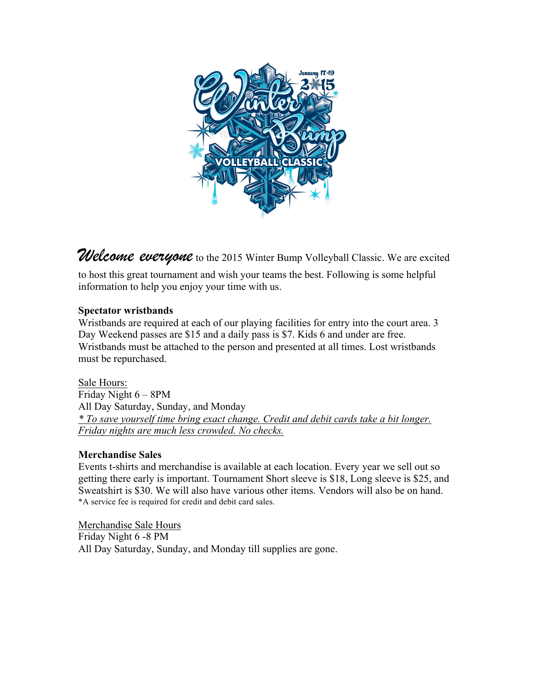

Welcome everyone to the 2015 Winter Bump Volleyball Classic. We are excited

to host this great tournament and wish your teams the best. Following is some helpful information to help you enjoy your time with us.

## **Spectator wristbands**

Wristbands are required at each of our playing facilities for entry into the court area. 3 Day Weekend passes are \$15 and a daily pass is \$7. Kids 6 and under are free. Wristbands must be attached to the person and presented at all times. Lost wristbands must be repurchased.

Sale Hours: Friday Night 6 – 8PM All Day Saturday, Sunday, and Monday *\* To save yourself time bring exact change. Credit and debit cards take a bit longer. Friday nights are much less crowded. No checks.*

## **Merchandise Sales**

Events t-shirts and merchandise is available at each location. Every year we sell out so getting there early is important. Tournament Short sleeve is \$18, Long sleeve is \$25, and Sweatshirt is \$30. We will also have various other items. Vendors will also be on hand. \*A service fee is required for credit and debit card sales.

Merchandise Sale Hours Friday Night 6 -8 PM All Day Saturday, Sunday, and Monday till supplies are gone.